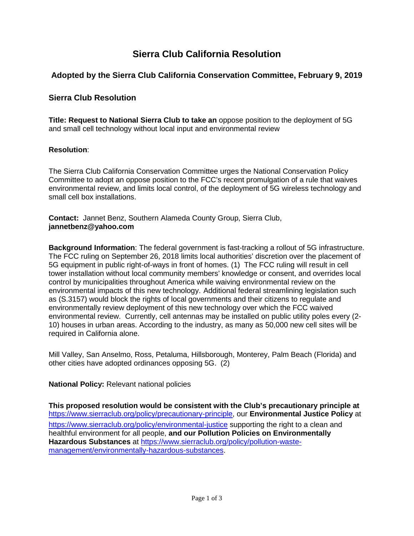# **Sierra Club California Resolution**

# **Adopted by the Sierra Club California Conservation Committee, February 9, 2019**

# **Sierra Club Resolution**

**Title: Request to National Sierra Club to take an** oppose position to the deployment of 5G and small cell technology without local input and environmental review

### **Resolution**:

The Sierra Club California Conservation Committee urges the National Conservation Policy Committee to adopt an oppose position to the FCC's recent promulgation of a rule that waives environmental review, and limits local control, of the deployment of 5G wireless technology and small cell box installations.

**Contact:** Jannet Benz, Southern Alameda County Group, Sierra Club, **jannetbenz@yahoo.com**

**Background Information**: The federal government is fast-tracking a rollout of 5G infrastructure. The FCC ruling on September 26, 2018 limits local authorities' discretion over the placement of 5G equipment in public right-of-ways in front of homes. (1) The FCC ruling will result in cell tower installation without local community members' knowledge or consent, and overrides local control by municipalities throughout America while waiving environmental review on the environmental impacts of this new technology. Additional federal streamlining legislation such as (S.3157) would block the rights of local governments and their citizens to regulate and environmentally review deployment of this new technology over which the FCC waived environmental review. Currently, cell antennas may be installed on public utility poles every (2- 10) houses in urban areas. According to the industry, as many as 50,000 new cell sites will be required in California alone.

Mill Valley, San Anselmo, Ross, Petaluma, Hillsborough, Monterey, Palm Beach (Florida) and other cities have adopted ordinances opposing 5G. (2)

#### **National Policy:** Relevant national policies

**This proposed resolution would be consistent with the Club's precautionary principle at**  https://www.sierraclub.org/policy/precautionary-principle, our **Environmental Justice Policy** at <https://www.sierraclub.org/policy/environmental-justice> supporting the right to a clean and healthful environment for all people, **and our Pollution Policies on Environmentally Hazardous Substances** at [https://www.sierraclub.org/policy/pollution-waste](https://www.sierraclub.org/policy/pollution-waste-management/environmentally-hazardous-substances)[management/environmentally-hazardous-substances.](https://www.sierraclub.org/policy/pollution-waste-management/environmentally-hazardous-substances)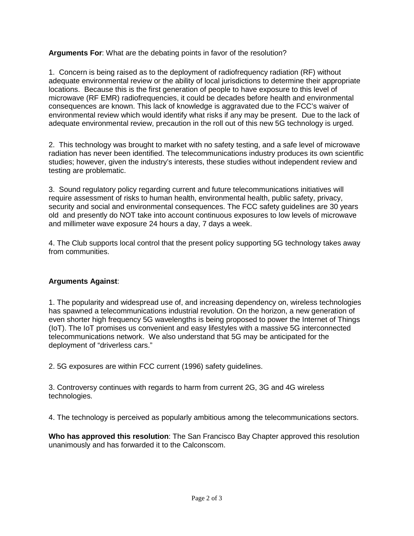# **Arguments For**: What are the debating points in favor of the resolution?

1. Concern is being raised as to the deployment of radiofrequency radiation (RF) without adequate environmental review or the ability of local jurisdictions to determine their appropriate locations. Because this is the first generation of people to have exposure to this level of microwave (RF EMR) radiofrequencies, it could be decades before health and environmental consequences are known. This lack of knowledge is aggravated due to the FCC's waiver of environmental review which would identify what risks if any may be present. Due to the lack of adequate environmental review, precaution in the roll out of this new 5G technology is urged.

2. This technology was brought to market with no safety testing, and a safe level of microwave radiation has never been identified. The telecommunications industry produces its own scientific studies; however, given the industry's interests, these studies without independent review and testing are problematic.

3. Sound regulatory policy regarding current and future telecommunications initiatives will require assessment of risks to human health, environmental health, public safety, privacy, security and social and environmental consequences. The FCC safety guidelines are 30 years old and presently do NOT take into account continuous exposures to low levels of microwave and millimeter wave exposure 24 hours a day, 7 days a week.

4. The Club supports local control that the present policy supporting 5G technology takes away from communities.

# **Arguments Against**:

1. The popularity and widespread use of, and increasing dependency on, wireless technologies has spawned a telecommunications industrial revolution. On the horizon, a new generation of even shorter high frequency 5G wavelengths is being proposed to power the Internet of Things (IoT). The IoT promises us convenient and easy lifestyles with a massive 5G interconnected telecommunications network. We also understand that 5G may be anticipated for the deployment of "driverless cars."

2. 5G exposures are within FCC current (1996) safety guidelines.

3. Controversy continues with regards to harm from current 2G, 3G and 4G wireless technologies.

4. The technology is perceived as popularly ambitious among the telecommunications sectors.

**Who has approved this resolution**: The San Francisco Bay Chapter approved this resolution unanimously and has forwarded it to the Calconscom.